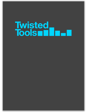# Twisted<br>Tools and D-D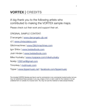# **VORTEX | CREDITS**

#### A big thank you to the following artists who contributed to making the VORTEX sample maps.

Please check out their work and support their art.

ORIGINAL SAMPLE CONTENT:

D'arcangelo | [www.darcangelo.cjb.net](http://www.darcangelo.cjb.net)

c2 | [www.chriscolatos.com](http://www.chriscolatos.com)

Glitchmachines | [www.Glitchmachines.com](http://www.Glitchmachines.com)

Igor Shilov | [www.twistedtools.com](http://www.twistedtools.com)

Josh Hinden | [www.twistedtools.com](http://www.twistedtools.com)

Mike Huckaby | [www.myspace.com/mikehuckaby](http://www.myspace.com/mikehuckaby)

Noklip | [2061art@gmail.com](mailto:2061art@gmail.com?subject=Re:%20Your%20Twisted%20Tools%20Work)

Timonkey | [mutimusic.com](http://www.mutimusic.com/2/news/artists/timonkey/)

Tipper | [www.tippermusic.net](http://www.tippermusic.net) | [facebook.com/tippermusic](http://www.facebook.com/tippermusic)

The included VORTEX libraries are free to use for commercial or non-commercial musical works, but you may not redistribute these samples in any way, shape or form or claim credit for the material in its raw unaltered form or outside of a musical work. You may not use this material to make sample libraries.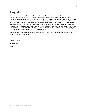# **Legal**

All software discussed in this manual is issued as is and the software described in this manual comes with no warranty. We are not be responsible for any lost data or financial loss incurred as a result of using this software. If you are unsure as to how to use this software, don't use it. Any information in this manual is subject to change without notice and nothing in this document represents a commitment on our part. All the software described by this document is copyright Twisted Tools™, 2010. You may not alter this document in any form or distribute it for any purpose other than press related purposes. You may not share this software with anyone or any entity, such as torrent sites without violating the terms of use. Should you share this software illegally, it is likely that the wrath of god will come down upon you. Should you buy this software, your karma will be plentiful.

If you somehow magically obtained this software, buy it...at our [site.](http://twistedtools.com) We need your support to keep bringing you more twisted tools.

Twisted Tools™

San Francisco, CA

USA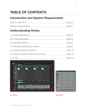## **TABLE OF CONTENTS**

#### **Introduction and System Requirements**

| What is VORTEX?            | Page 5 |
|----------------------------|--------|
|                            |        |
| <b>System Requirements</b> | Page 5 |

## **Understanding Vortex**

| 1.0 Scene Sequencer                    | Page 6  |
|----------------------------------------|---------|
| 2.0 Track Sequencer                    | Page 6  |
| <b>3.0 Sampler Window</b>              | Page 8  |
| 4.0 Parameter/Modulation Knobs         | Page 8  |
| 5.0 Sampler Settings Buttons           | Page 10 |
| 6.0 Global Functions/MIDI Learn/B-View | Page 11 |
| 7.0 LFOs                               | Page 12 |





A-VIEW 

B-VIEW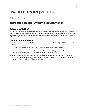# **TWISTED TOOLS** | **VORTEX**

## USER GUIDE

#### **Introduction and System Requirements**

#### <span id="page-4-0"></span>**What is VORTEX?**

VORTEX is a six-track, polyphonic granular sampler and sequencer for Native Instrument's Reaktor 5. Each track has 4 independent sequencer pages and a unique set of parameters and modulators. In this guide you will find explanations for all of Vortex's features along with graphics that indicate where on the interface each item is located.

#### <span id="page-4-1"></span>**System Requirements**

- VORTEX requires any PC or MAC Computer running a version of Reaktor 5 (5.1.5.002 recommended) and up.
- If you are using this ensemble with Kore 2, you will need the latest version of Kore 2.
- If your are using this ensemble with the included Maschine template, you will need the latest version of Native Instrument's Maschine's Controller Editor (1.21 + recommended)
- In order to make use of Vortex's multi-outs, you will need a host DAW that supports this feature. Please consult your host documentation for info on multiple output instruments. Please note that Reaktor VST has a maximum of 4 stereo outputs.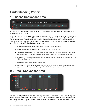#### **Understanding Vortex**

#### <span id="page-5-0"></span>**1.0 Scene Sequencer Area**



A scene is like a preset for the entire instrument. In other words, a Scene stores all the sampler settings and patterns for all 6 tracks.

There are 8 scenes (A-H) and you can sequence the order of their playback by dragging a scene letter to assign a scene (A-H) to one of the 8 Scene Assignment Slots. The Scene Sequencer Cycle Area allows you to cycle through a particular group of Scenes. The speed at which the scene order progresses is determined by the Scene Clock and is set in rhythmic values. To reset the order of the scenes back to the default order (A to H), click the Scene Reset button.

- **1.1 Scene Sequencer Cycle Area**  Sets cycle start and end (length)
- **1.2 Scene Assignment Slots 1 8**  Drag to assign a scene to a slot
- **1.3 Scene Clock/Root Note**  Sets speed at which scenes change if Seq is set to ON. If Seq is set to off, then a 'root' note appears. Root note is used  $(+7)$  to control scenes via MIDI.
- **1.4 Seq ON**  Activates scene sequencer. Otherwise, scenes are controlled manually or by the MIDI notes (Root note+7).
- **1.5 Scene Reset** Resets order of slots to A-H
- <span id="page-5-1"></span>**• 1.6 Swing** - Click and drag the swing button in either direction to add alternate shuffle/swing to your rhythms. The swing and swing is stored with the scene you're working on.

#### **2.0 Track Sequencer Area**



There are six independent tracks in the Track Sequencer area. Each track has 4 independent Sequencer Pages, accessed by clicking their respective tabs. You can draw/delete steps into a page's sequencer with a simple left click'n'drag to draw the steps and their values. Right click'n'drag works like a ruler, applying the same value to all steps.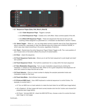|                |                 | <b>Swing</b>              |               |      |               |               |       |               |       |   | 2.5    |      |       |           |
|----------------|-----------------|---------------------------|---------------|------|---------------|---------------|-------|---------------|-------|---|--------|------|-------|-----------|
| $2.10 - \circ$ |                 |                           | S<br>M        |      |               |               |       |               |       |   |        |      |       |           |
|                |                 | 2 $\odot \frac{S}{M}$ 2.9 |               |      |               |               |       |               |       |   |        |      |       |           |
| $2.8 - 3$      |                 | $\odot$                   | $\frac{S}{M}$ |      |               |               |       |               |       |   |        |      |       | $\cdot$ 2 |
|                | $\vert 4 \vert$ | $\odot$                   | $rac{S}{M}$   |      |               |               |       |               |       |   |        |      |       |           |
|                | 5 <sup>1</sup>  | $\odot$                   | $\frac{S}{M}$ |      |               |               |       |               |       |   |        |      |       |           |
|                |                 | $6\circledcirc$           | S<br>M        |      | 2.7           |               |       |               |       |   | 2.2    | 2.3  | 2.4   |           |
|                |                 | 2.61/16                   |               | Gate | <b>과 Roll</b> | $\Xi^\dagger$ | Mod A | $\frac{1}{2}$ | Mod B | 즤 | Select | Rand | Clear |           |
|                |                 | $\sim$ $-$                |               |      |               |               |       |               |       |   |        |      |       |           |

- **• 2.1 Sequencer Pages (Gate, Roll, Mod A, Mod B)**
	- • **2.1.1 Gate Sequencer Page** Triggers a sample
	- • **2.1.2 Roll Sequencer Page** Creates roll or drill effect. Value controls speed of the drill.
	- • **2.1.3 Mod A/B Sequencer Pages** These are sequencers that are not set-up to do anything unless assigned to a parameter as a modulator as described in section 4 below.
- **• 2.2 Select Toggle** When on, you can drag-select across a specific area of the Track Sequencer area to randomize, copy/paste or clear the selected area only (unless set to WHOLE SCENE, in which case clear clears everything in the scene, regardless of selction).
- **2.3 Rand** Randomizes the entire Sequencer Page (if Select Toggle is off). The x-axis position of your mouse-click on the button affects the amount of randomization.
- **2.4 Clear** clears the sequence.
- **2.5 Track Sequencer Cycle area**  Allows you to set the track sequencer's cycle length and start/ end position
- **2.6 Track Sequencer Clock** The rhythmic subdivision for a s step within the track sequencer
- **• 2.7 Zero Modulation Sequencing** Turn on zero-modulation sequencing by clicking the necessary 'z' buttons on the sequencer tabs. When on for a given sequencer, that sequencer will send zero-values for steps that are set to zero
- **• 2.8 Track Selector** Click on a track number to display the sampler parameter knobs and modulation knobs for that track.
- **• 2.9 Track Solo/Mute** Solo's/Mutes track playback
- <span id="page-6-0"></span>**• 2.10 External MIDI Input** - Use a MIDI keyboard or external sequencer to control Vortex. For example, to control track 1:
	- **•** #1 Turn on MIDI icon on track selector to make the track listen for ext MIDI (see image below).
	- **•** #2 In Reaktor's B-View (upper left-hand corner) double-click the Ext1 button and choose Ext1 properties (see image below).
	- **•** #3 Check 'Activate MIDI IN', check the MIDI NOTE box, choose a note # to control the track (see image on next page).

**Continued.**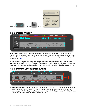

#### <span id="page-7-0"></span>**3.0 Sampler Window**



Right click or double-click to open the Sample Map Editor where you can load your own samples or sample map. The quickest way to add samples or sample maps is by drag&drop from your desktop to the Sample Map Editor...See the Reaktor manual for more information on using the Sample Map editor or watch this [video.](http://www.youtube.com/watch?v=8ZQp40556tY)

A simple way to use your own samples is to right click, choose Open Sample Map Editor, select a sample to replace and choose Edit>Replace from the local sample map editor Edit menu. To save and load your own maps, click and choose Save Map in the sample map editors 'Edit Sample List' menu.

#### <span id="page-7-1"></span>**4.0 Parameter/Modulation Knobs**



4. **Parameter and Mod Knobs -** Each track's sampler has its own set of 11 parameter and modulation knobs. Left click'n'drag to control a Parameter Knob. Turn on and choose a modulator for any parameter, by left-click dragging a Parameter Label. Right click'n'drag to control Modulation Amount. Double-click to reset parameter knobs to default value.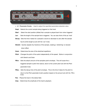

**• 4.1 Parameter Knobs -** Used to adjust the specified parameters absolute value.

**Smpl** - Selects the current sample being triggered on that track

**Start** - Select the start position (offset) that a sample is played back from when triggered

- **Len**  Sets the length of the sample that is triggered. You can also think of this as 'hold'
- **Decay** Sets the time it takes for a sample's volume to decrease to zero after the sample has its entire length as set with the 'Len' knob.
- **Stretch** Quickly repeats tiny fractions of the sample, creating a 'stretching' or slowed- down effect.
- **Grain**  Determines the size of the stretched repetitions
- **Pitch**  Changes the pitch of the audio independently of the speed. Works in conjunction with Stretch and Grain
- **PEnv**  Sets the attack amount of the samplers pitch envelope. This will cause the a triggered sample to pitch from above, down to the current pitch set with the Pitch parameter knob.
- **PDec**  Sets the decay time of the pitch envelope . This is the time it takes for the pitch to return to the Pitch parameter knob's position based on the amount set with the PEnv knob.
- **Pan**  Places the track in the stereo field.
- **Amp** Determines the amplitude of the track's playback.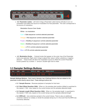

**• 4.2 Parameter Labels** - Left click'n'drag a Parameter Label (name) vertically to turn on modulation and select the source of modulation for that parameter. The color corresponds to the source of modulation.

 Modulation Source Color Guide:

White  $=$  no modulation.

 Cyan = Gate sequencer controls selected parameter

 Orange = Roll sequencer controls selected parameter

 Purple = ModSeq A sequencer controls selected parameter

 Green = ModSeq B sequencer controls selected parameter

 Yellow = LFO A controls selected parameter

 Blue = LFO B controls selected parameter

**• 4.3 Modulation Knobs** - Colored knobs that appear on the outer ring of the Parameter knob once selected. Right-click'n'drag to adjust their value in either a positive or negative direction. These knobs will allow the modulation source to offset the current Parameter Knob's position by a certain +/- amount. Double-right click to reset.

#### <span id="page-9-0"></span>**5.0 Sampler Settings Buttons**



**Sample Settings Buttons -** Each track's Sampler has 6 Settings Buttons that are related to the parameter knobs directly above them. These settings buttons are :

- **• 5.1 Sample Reverse -** Reverses playback of samples for that track
- **• 5.2 Start Offset Quantize (16th)**  When on, the samples start position (offset) is quantized to the nearest 1/16th note, based on the current tempo and the samples detected length
- **• 5.3 Sample Length Offset Quantize (16th)**  When on, the samples length is quantized to the nearest 1/16th note, based on the current tempo and the samples detected length
- **• 5.4 BPM (x#)** Auto stretches sample to the current tempo. There is also an additional correction selector to multiply or divide the samples tempo by 2 in the event that the BPM was incorrectly detected.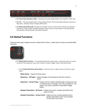| Rev           | $16th$   16th |                 |  | BPM x1 16th Fit MODE: GRAIN |  |
|---------------|---------------|-----------------|--|-----------------------------|--|
| $5.1$ 5.2 5.3 |               | 5.4 5.5 5.6 5.7 |  |                             |  |

- **• 5.5 Grain Size Quantize (16th)** Quantizes the grain length (size) to the nearest 1/16th note.
- **• 5.6 Fit** Ties the samples pitch to the projects tempo. This functionality behaves more like a tape deck, whereby tempo changes affect pitch.
- **• 5.7 Mode (Grain/Normal):** Changes the sampler for the current track to either be a granular sampler or a high quality standard sampler. Using 'Normal' mode results in the best quality, but prohibits using the grain and stretch features.

#### <span id="page-10-0"></span>**6.0 Global Functions**

There are three types of global functions: Global Edit Functions, Global View Functions and Global MIDI Functions.



- **• 6.1 Global Edit Functions** To copy/paste/reset the whole scene, particular parts of a scene or parts of the sequencer area when using the 'Select Toggle' button described earlier.
	- **• 6.1.1 Global Edit Drop-Down Menu** Use this menu to select what you'd like to copy/ paste

 **Whole Scene** - Copies the entire scene

- **Sequencer All Pages** Copies all pages of the sequencer area from scene to scene
- **Sequencer Current Page** Copies only the currently selected page in Sequencer area or selected area of the page, which can be pasted on any page in any scene, anywhere if using Select Toggle button.
- **Sampler Parameters All Tracks** Copies every tracks' sampler parameters from 

scene to scene
- **Sampler Parameters Current Track** Copies only the currently selected track's 

sampler parameters which can be pasted on any track in any scene.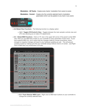**Modulation - All Tracks** - Copies every tracks' modulation from scene to scene

 **Modulation - Current** - Copies only the currently selected track's modulation 

 parameters which can be pasted on any track in any scene



- **• 6.2 Global View Functions** The following function is a display option
	- **• 6.2.1 Toggle LFO/Control's View** Toggles between the main sampler controls view and LFO view allowing you to make LFO adjustments
- **• 6.3 Global MIDI Functions**  Click on 'B' view in the upper left corner of the panel to enter MIDI view. Here you can MIDI learn knobs on your controller to every parameter of each track. If your host supports MIDI Out, you'll notice that any changes made by mouse movements, scene changes or snapshot changes will result in your hardware updating as well. This will prevent 'jumping' knobs by making sure that your controller always follows what is on screen. Just Right-Click to MIDI learn any knob/button in B-view.



**• 6.3.1 Track Selector MIDI Learn -** Right-click to MIDI learn buttons on your controller to change the currently selected track.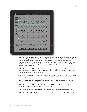

- **• 6.3.2 Ext. MIDI In MIDI Learn**  Use this button to MIDI learn an external MIDI message to be used to trigger the track in lieu of using the built-in sequencer. Right-click this button and choose 'properties'. Then check 'Activate MIDI IN', and choose what kind of message you'd like to trigger the track (note, cc, etc.). Then, turn on the MIDI Icon in the A-view when you'd like to trigger the track using your assignment. See [section 2.10](#page-6-0) for pictures of this process.
- **• 6.3.3 Parameter and Modulation View** Allows you to toggle between displaying Parameter and Modulation knobs for each track to MIDI learn to. Right-click to MIDI learn knobs to parameters and modulators.
- **• 6.3.4 LFO Resolution**  Use the LFO Resolution menu to lighten the load on the cpu if you are having cpu issues on a slower computer or simply need to free up some CPU
- **• 6.3.5 Parameter and Modulation MIDI Learn Knobs** MIDI learnable knobs for each track's parameter knobs and modulation knobs
- **• 6.3.6 Parameter and Modulation Randomizers MIDI Learn** MIDI learn buttons to Randomize parameters or modulators for each track
- **• 6.3.7 Sampler Reverse MIDI Learn** MIDI learn buttons for the reverse for each track
- **• 6.3.8 Track Solo/Mute MIDI Learn** MIDI learn buttons for the Track Solo/Mute buttons